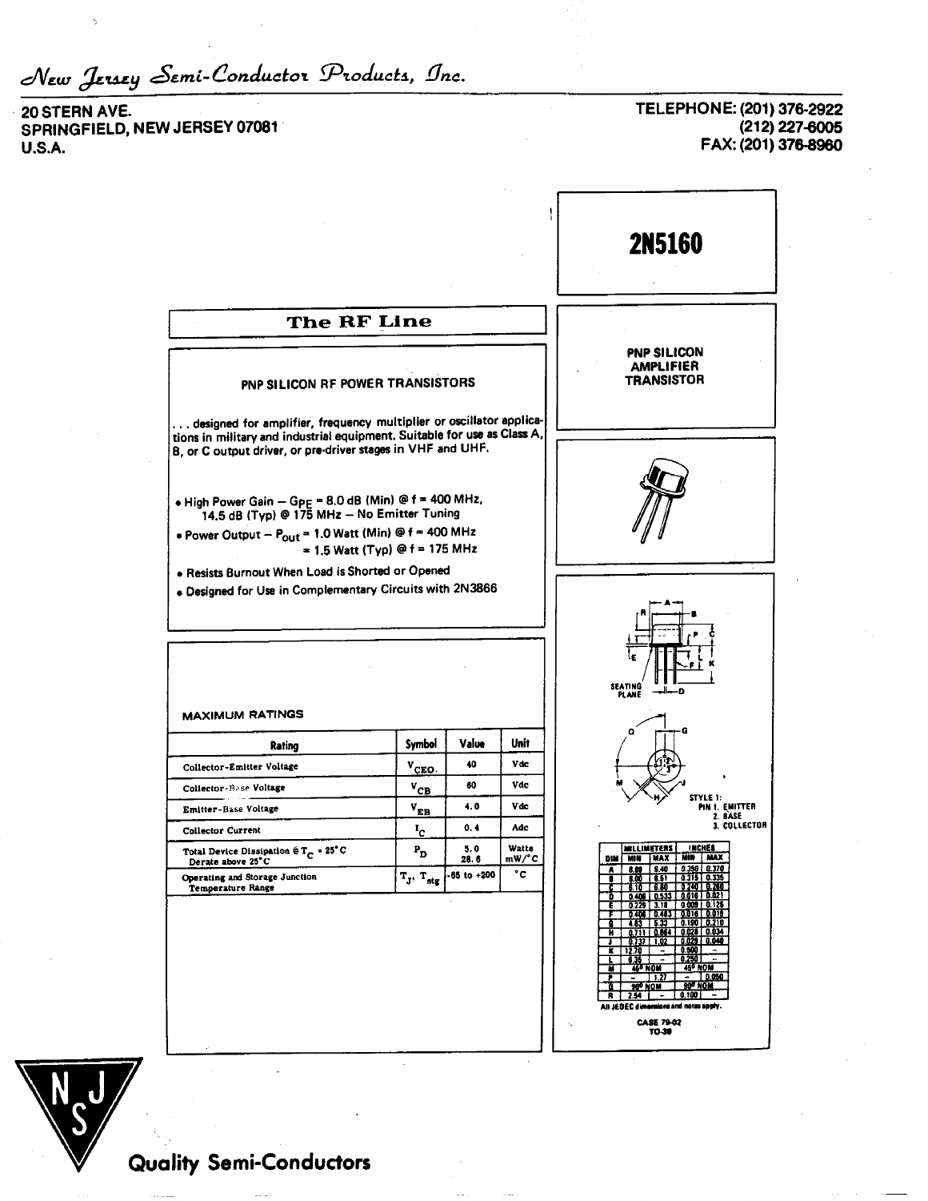New Jersey Semi-Conductor Products, Inc.

20 STERN AVE. SPRINGFIELD, NEW JERSEY 07081 **U.S.A.** 

TELEPHONE: (201) 376-2922 (212) 227-6005 FAX: (201) 376-8960





**Quality Semi-Conductors**